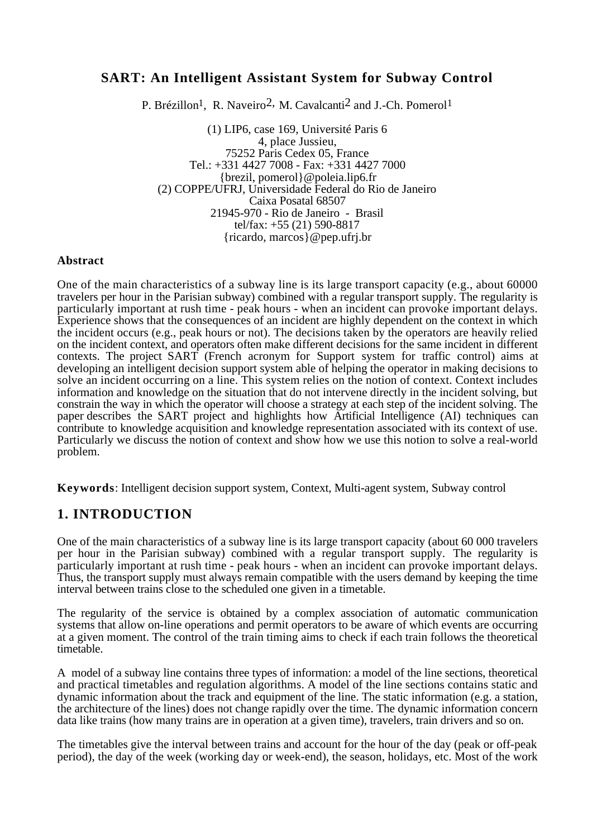# **SART: An Intelligent Assistant System for Subway Control**

P. Brézillon<sup>1</sup>, R. Naveiro<sup>2</sup>, M. Cavalcanti<sup>2</sup> and J.-Ch. Pomerol<sup>1</sup>

(1) LIP6, case 169, Université Paris 6 4, place Jussieu, 75252 Paris Cedex 05, France Tel.: +331 4427 7008 - Fax: +331 4427 7000 {brezil, pomerol}@poleia.lip6.fr (2) COPPE/UFRJ, Universidade Federal do Rio de Janeiro Caixa Posatal 68507 21945-970 - Rio de Janeiro - Brasil tel/fax: +55 (21) 590-8817 {ricardo, marcos}@pep.ufrj.br

#### **Abstract**

One of the main characteristics of a subway line is its large transport capacity (e.g., about 60000 travelers per hour in the Parisian subway) combined with a regular transport supply. The regularity is particularly important at rush time - peak hours - when an incident can provoke important delays. Experience shows that the consequences of an incident are highly dependent on the context in which the incident occurs (e.g., peak hours or not). The decisions taken by the operators are heavily relied on the incident context, and operators often make different decisions for the same incident in different contexts. The project SART (French acronym for Support system for traffic control) aims at developing an intelligent decision support system able of helping the operator in making decisions to solve an incident occurring on a line. This system relies on the notion of context. Context includes information and knowledge on the situation that do not intervene directly in the incident solving, but constrain the way in which the operator will choose a strategy at each step of the incident solving. The paper describes the SART project and highlights how Artificial Intelligence (AI) techniques can contribute to knowledge acquisition and knowledge representation associated with its context of use. Particularly we discuss the notion of context and show how we use this notion to solve a real-world problem.

**Keywords**: Intelligent decision support system, Context, Multi-agent system, Subway control

## **1. INTRODUCTION**

One of the main characteristics of a subway line is its large transport capacity (about 60 000 travelers per hour in the Parisian subway) combined with a regular transport supply. The regularity is particularly important at rush time - peak hours - when an incident can provoke important delays. Thus, the transport supply must always remain compatible with the users demand by keeping the time interval between trains close to the scheduled one given in a timetable.

The regularity of the service is obtained by a complex association of automatic communication systems that allow on-line operations and permit operators to be aware of which events are occurring at a given moment. The control of the train timing aims to check if each train follows the theoretical timetable.

A model of a subway line contains three types of information: a model of the line sections, theoretical and practical timetables and regulation algorithms. A model of the line sections contains static and dynamic information about the track and equipment of the line. The static information (e.g. a station, the architecture of the lines) does not change rapidly over the time. The dynamic information concern data like trains (how many trains are in operation at a given time), travelers, train drivers and so on.

The timetables give the interval between trains and account for the hour of the day (peak or off-peak period), the day of the week (working day or week-end), the season, holidays, etc. Most of the work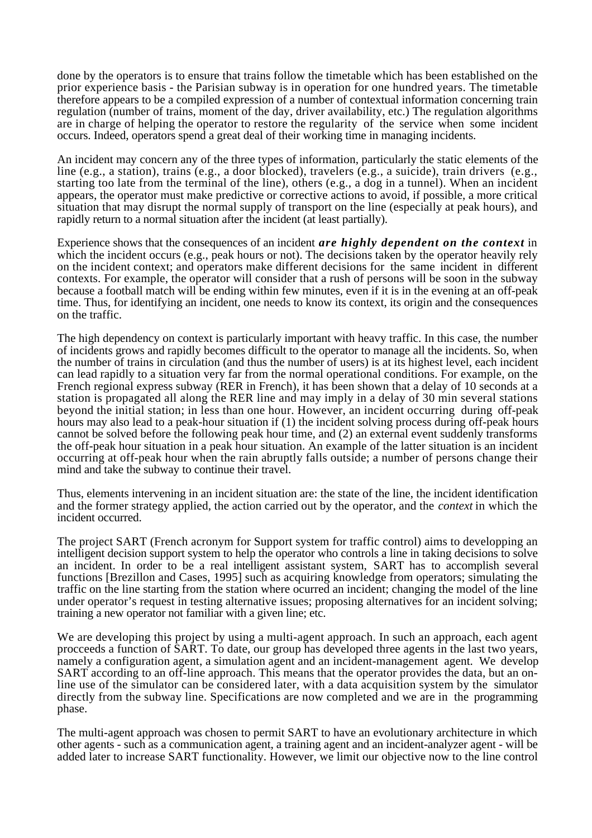done by the operators is to ensure that trains follow the timetable which has been established on the prior experience basis - the Parisian subway is in operation for one hundred years. The timetable therefore appears to be a compiled expression of a number of contextual information concerning train regulation (number of trains, moment of the day, driver availability, etc.) The regulation algorithms are in charge of helping the operator to restore the regularity of the service when some incident occurs. Indeed, operators spend a great deal of their working time in managing incidents.

An incident may concern any of the three types of information, particularly the static elements of the line (e.g., a station), trains (e.g., a door blocked), travelers (e.g., a suicide), train drivers (e.g., starting too late from the terminal of the line), others (e.g., a dog in a tunnel). When an incident appears, the operator must make predictive or corrective actions to avoid, if possible, a more critical situation that may disrupt the normal supply of transport on the line (especially at peak hours), and rapidly return to a normal situation after the incident (at least partially).

Experience shows that the consequences of an incident *are highly dependent on the context* in which the incident occurs (e.g., peak hours or not). The decisions taken by the operator heavily rely on the incident context; and operators make different decisions for the same incident in different contexts. For example, the operator will consider that a rush of persons will be soon in the subway because a football match will be ending within few minutes, even if it is in the evening at an off-peak time. Thus, for identifying an incident, one needs to know its context, its origin and the consequences on the traffic.

The high dependency on context is particularly important with heavy traffic. In this case, the number of incidents grows and rapidly becomes difficult to the operator to manage all the incidents. So, when the number of trains in circulation (and thus the number of users) is at its highest level, each incident can lead rapidly to a situation very far from the normal operational conditions. For example, on the French regional express subway (RER in French), it has been shown that a delay of 10 seconds at a station is propagated all along the RER line and may imply in a delay of 30 min several stations beyond the initial station; in less than one hour. However, an incident occurring during off-peak hours may also lead to a peak-hour situation if (1) the incident solving process during off-peak hours cannot be solved before the following peak hour time, and (2) an external event suddenly transforms the off-peak hour situation in a peak hour situation. An example of the latter situation is an incident occurring at off-peak hour when the rain abruptly falls outside; a number of persons change their mind and take the subway to continue their travel.

Thus, elements intervening in an incident situation are: the state of the line, the incident identification and the former strategy applied, the action carried out by the operator, and the *context* in which the incident occurred.

The project SART (French acronym for Support system for traffic control) aims to developping an intelligent decision support system to help the operator who controls a line in taking decisions to solve an incident. In order to be a real intelligent assistant system, SART has to accomplish several functions [Brezillon and Cases, 1995] such as acquiring knowledge from operators; simulating the traffic on the line starting from the station where ocurred an incident; changing the model of the line under operator's request in testing alternative issues; proposing alternatives for an incident solving; training a new operator not familiar with a given line; etc.

We are developing this project by using a multi-agent approach. In such an approach, each agent procceeds a function of SART. To date, our group has developed three agents in the last two years, namely a configuration agent, a simulation agent and an incident-management agent. We develop SART according to an off-line approach. This means that the operator provides the data, but an online use of the simulator can be considered later, with a data acquisition system by the simulator directly from the subway line. Specifications are now completed and we are in the programming phase.

The multi-agent approach was chosen to permit SART to have an evolutionary architecture in which other agents - such as a communication agent, a training agent and an incident-analyzer agent - will be added later to increase SART functionality. However, we limit our objective now to the line control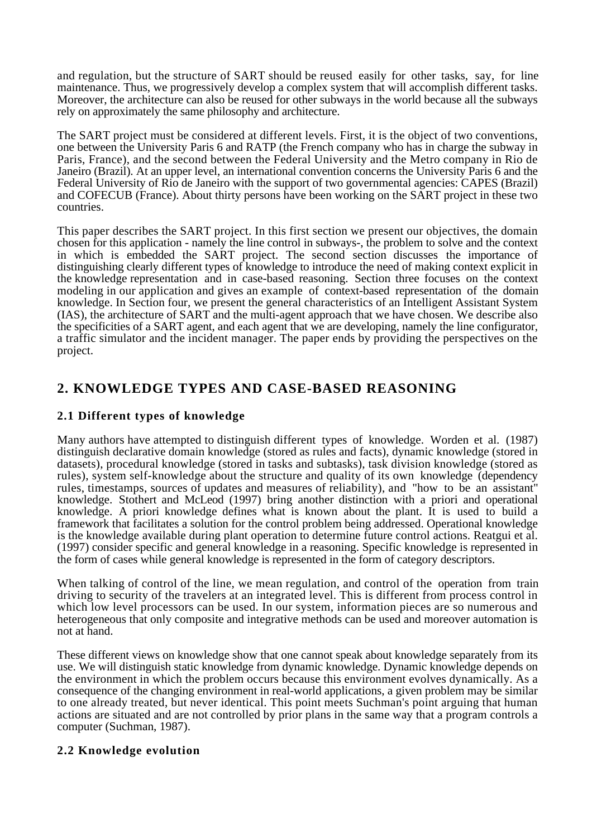and regulation, but the structure of SART should be reused easily for other tasks, say, for line maintenance. Thus, we progressively develop a complex system that will accomplish different tasks. Moreover, the architecture can also be reused for other subways in the world because all the subways rely on approximately the same philosophy and architecture.

The SART project must be considered at different levels. First, it is the object of two conventions, one between the University Paris 6 and RATP (the French company who has in charge the subway in Paris, France), and the second between the Federal University and the Metro company in Rio de Janeiro (Brazil). At an upper level, an international convention concerns the University Paris 6 and the Federal University of Rio de Janeiro with the support of two governmental agencies: CAPES (Brazil) and COFECUB (France). About thirty persons have been working on the SART project in these two countries.

This paper describes the SART project. In this first section we present our objectives, the domain chosen for this application - namely the line control in subways-, the problem to solve and the context in which is embedded the SART project. The second section discusses the importance of distinguishing clearly different types of knowledge to introduce the need of making context explicit in the knowledge representation and in case-based reasoning. Section three focuses on the context modeling in our application and gives an example of context-based representation of the domain knowledge. In Section four, we present the general characteristics of an Intelligent Assistant System (IAS), the architecture of SART and the multi-agent approach that we have chosen. We describe also the specificities of a SART agent, and each agent that we are developing, namely the line configurator, a traffic simulator and the incident manager. The paper ends by providing the perspectives on the project.

# **2. KNOWLEDGE TYPES AND CASE-BASED REASONING**

## **2.1 Different types of knowledge**

Many authors have attempted to distinguish different types of knowledge. Worden et al. (1987) distinguish declarative domain knowledge (stored as rules and facts), dynamic knowledge (stored in datasets), procedural knowledge (stored in tasks and subtasks), task division knowledge (stored as rules), system self-knowledge about the structure and quality of its own knowledge (dependency rules, timestamps, sources of updates and measures of reliability), and "how to be an assistant" knowledge. Stothert and McLeod (1997) bring another distinction with a priori and operational knowledge. A priori knowledge defines what is known about the plant. It is used to build a framework that facilitates a solution for the control problem being addressed. Operational knowledge is the knowledge available during plant operation to determine future control actions. Reatgui et al. (1997) consider specific and general knowledge in a reasoning. Specific knowledge is represented in the form of cases while general knowledge is represented in the form of category descriptors.

When talking of control of the line, we mean regulation, and control of the operation from train driving to security of the travelers at an integrated level. This is different from process control in which low level processors can be used. In our system, information pieces are so numerous and heterogeneous that only composite and integrative methods can be used and moreover automation is not at hand.

These different views on knowledge show that one cannot speak about knowledge separately from its use. We will distinguish static knowledge from dynamic knowledge. Dynamic knowledge depends on the environment in which the problem occurs because this environment evolves dynamically. As a consequence of the changing environment in real-world applications, a given problem may be similar to one already treated, but never identical. This point meets Suchman's point arguing that human actions are situated and are not controlled by prior plans in the same way that a program controls a computer (Suchman, 1987).

## **2.2 Knowledge evolution**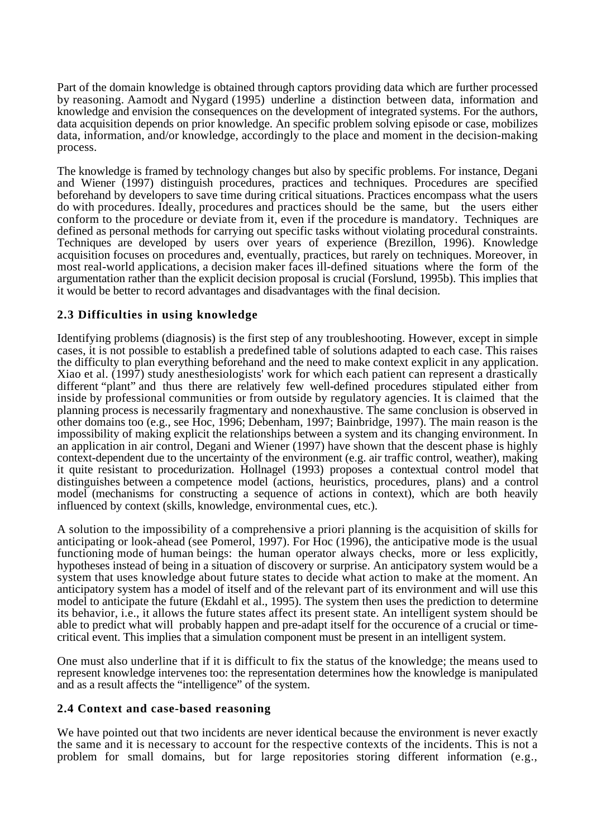Part of the domain knowledge is obtained through captors providing data which are further processed by reasoning. Aamodt and Nygard (1995) underline a distinction between data, information and knowledge and envision the consequences on the development of integrated systems. For the authors, data acquisition depends on prior knowledge. An specific problem solving episode or case, mobilizes data, information, and/or knowledge, accordingly to the place and moment in the decision-making process.

The knowledge is framed by technology changes but also by specific problems. For instance, Degani and Wiener (1997) distinguish procedures, practices and techniques. Procedures are specified beforehand by developers to save time during critical situations. Practices encompass what the users do with procedures. Ideally, procedures and practices should be the same, but the users either conform to the procedure or deviate from it, even if the procedure is mandatory. Techniques are defined as personal methods for carrying out specific tasks without violating procedural constraints. Techniques are developed by users over years of experience (Brezillon, 1996). Knowledge acquisition focuses on procedures and, eventually, practices, but rarely on techniques. Moreover, in most real-world applications, a decision maker faces ill-defined situations where the form of the argumentation rather than the explicit decision proposal is crucial (Forslund, 1995b). This implies that it would be better to record advantages and disadvantages with the final decision.

### **2.3 Difficulties in using knowledge**

Identifying problems (diagnosis) is the first step of any troubleshooting. However, except in simple cases, it is not possible to establish a predefined table of solutions adapted to each case. This raises the difficulty to plan everything beforehand and the need to make context explicit in any application. Xiao et al. (1997) study anesthesiologists' work for which each patient can represent a drastically different "plant" and thus there are relatively few well-defined procedures stipulated either from inside by professional communities or from outside by regulatory agencies. It is claimed that the planning process is necessarily fragmentary and nonexhaustive. The same conclusion is observed in other domains too (e.g., see Hoc, 1996; Debenham, 1997; Bainbridge, 1997). The main reason is the impossibility of making explicit the relationships between a system and its changing environment. In an application in air control, Degani and Wiener (1997) have shown that the descent phase is highly context-dependent due to the uncertainty of the environment (e.g. air traffic control, weather), making it quite resistant to procedurization. Hollnagel (1993) proposes a contextual control model that distinguishes between a competence model (actions, heuristics, procedures, plans) and a control model (mechanisms for constructing a sequence of actions in context), which are both heavily influenced by context (skills, knowledge, environmental cues, etc.).

A solution to the impossibility of a comprehensive a priori planning is the acquisition of skills for anticipating or look-ahead (see Pomerol, 1997). For Hoc (1996), the anticipative mode is the usual functioning mode of human beings: the human operator always checks, more or less explicitly, hypotheses instead of being in a situation of discovery or surprise. An anticipatory system would be a system that uses knowledge about future states to decide what action to make at the moment. An anticipatory system has a model of itself and of the relevant part of its environment and will use this model to anticipate the future (Ekdahl et al., 1995). The system then uses the prediction to determine its behavior, i.e., it allows the future states affect its present state. An intelligent system should be able to predict what will probably happen and pre-adapt itself for the occurence of a crucial or timecritical event. This implies that a simulation component must be present in an intelligent system.

One must also underline that if it is difficult to fix the status of the knowledge; the means used to represent knowledge intervenes too: the representation determines how the knowledge is manipulated and as a result affects the "intelligence" of the system.

### **2.4 Context and case-based reasoning**

We have pointed out that two incidents are never identical because the environment is never exactly the same and it is necessary to account for the respective contexts of the incidents. This is not a problem for small domains, but for large repositories storing different information (e.g.,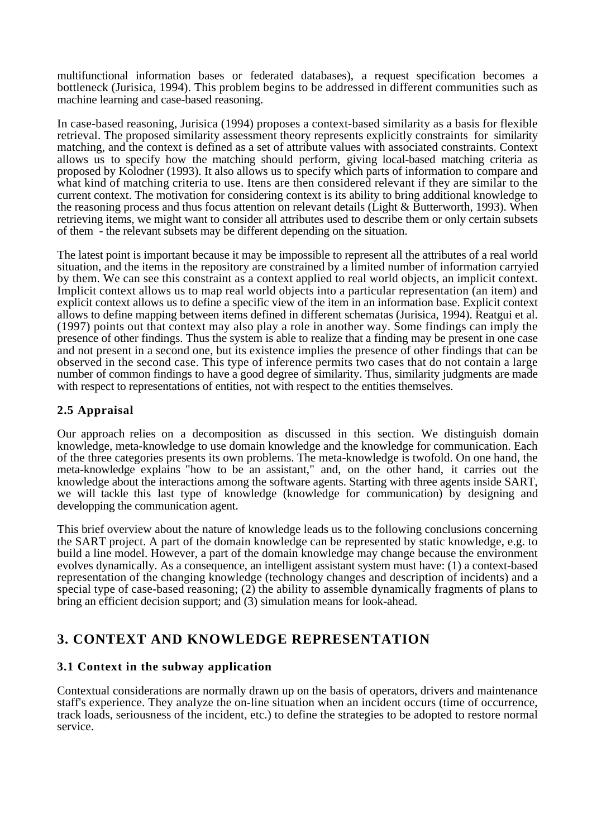multifunctional information bases or federated databases), a request specification becomes a bottleneck (Jurisica, 1994). This problem begins to be addressed in different communities such as machine learning and case-based reasoning.

In case-based reasoning, Jurisica (1994) proposes a context-based similarity as a basis for flexible retrieval. The proposed similarity assessment theory represents explicitly constraints for similarity matching, and the context is defined as a set of attribute values with associated constraints. Context allows us to specify how the matching should perform, giving local-based matching criteria as proposed by Kolodner (1993). It also allows us to specify which parts of information to compare and what kind of matching criteria to use. Itens are then considered relevant if they are similar to the current context. The motivation for considering context is its ability to bring additional knowledge to the reasoning process and thus focus attention on relevant details (Light & Butterworth, 1993). When retrieving items, we might want to consider all attributes used to describe them or only certain subsets of them - the relevant subsets may be different depending on the situation.

The latest point is important because it may be impossible to represent all the attributes of a real world situation, and the items in the repository are constrained by a limited number of information carryied by them. We can see this constraint as a context applied to real world objects, an implicit context. Implicit context allows us to map real world objects into a particular representation (an item) and explicit context allows us to define a specific view of the item in an information base. Explicit context allows to define mapping between items defined in different schematas (Jurisica, 1994). Reatgui et al. (1997) points out that context may also play a role in another way. Some findings can imply the presence of other findings. Thus the system is able to realize that a finding may be present in one case and not present in a second one, but its existence implies the presence of other findings that can be observed in the second case. This type of inference permits two cases that do not contain a large number of common findings to have a good degree of similarity. Thus, similarity judgments are made with respect to representations of entities, not with respect to the entities themselves.

## **2.5 Appraisal**

Our approach relies on a decomposition as discussed in this section. We distinguish domain knowledge, meta-knowledge to use domain knowledge and the knowledge for communication. Each of the three categories presents its own problems. The meta-knowledge is twofold. On one hand, the meta-knowledge explains "how to be an assistant," and, on the other hand, it carries out the knowledge about the interactions among the software agents. Starting with three agents inside SART, we will tackle this last type of knowledge (knowledge for communication) by designing and developping the communication agent.

This brief overview about the nature of knowledge leads us to the following conclusions concerning the SART project. A part of the domain knowledge can be represented by static knowledge, e.g. to build a line model. However, a part of the domain knowledge may change because the environment evolves dynamically. As a consequence, an intelligent assistant system must have: (1) a context-based representation of the changing knowledge (technology changes and description of incidents) and a special type of case-based reasoning; (2) the ability to assemble dynamically fragments of plans to bring an efficient decision support; and (3) simulation means for look-ahead.

# **3. CONTEXT AND KNOWLEDGE REPRESENTATION**

## **3.1 Context in the subway application**

Contextual considerations are normally drawn up on the basis of operators, drivers and maintenance staff's experience. They analyze the on-line situation when an incident occurs (time of occurrence, track loads, seriousness of the incident, etc.) to define the strategies to be adopted to restore normal service.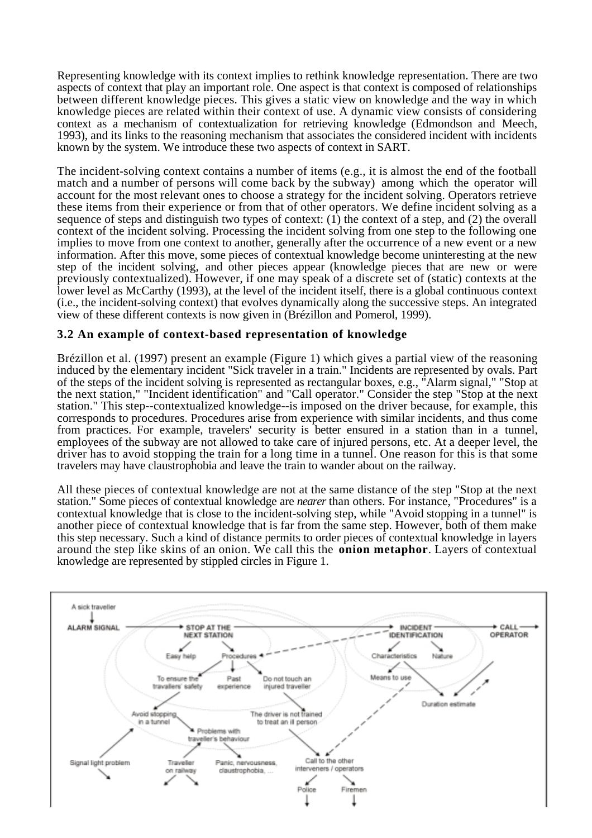Representing knowledge with its context implies to rethink knowledge representation. There are two aspects of context that play an important role. One aspect is that context is composed of relationships between different knowledge pieces. This gives a static view on knowledge and the way in which knowledge pieces are related within their context of use. A dynamic view consists of considering context as a mechanism of contextualization for retrieving knowledge (Edmondson and Meech, 1993), and its links to the reasoning mechanism that associates the considered incident with incidents known by the system. We introduce these two aspects of context in SART.

The incident-solving context contains a number of items (e.g., it is almost the end of the football match and a number of persons will come back by the subway) among which the operator will account for the most relevant ones to choose a strategy for the incident solving. Operators retrieve these items from their experience or from that of other operators. We define incident solving as a sequence of steps and distinguish two types of context: (1) the context of a step, and (2) the overall context of the incident solving. Processing the incident solving from one step to the following one implies to move from one context to another, generally after the occurrence of a new event or a new information. After this move, some pieces of contextual knowledge become uninteresting at the new step of the incident solving, and other pieces appear (knowledge pieces that are new or were previously contextualized). However, if one may speak of a discrete set of (static) contexts at the lower level as McCarthy (1993), at the level of the incident itself, there is a global continuous context (i.e., the incident-solving context) that evolves dynamically along the successive steps. An integrated view of these different contexts is now given in (Brézillon and Pomerol, 1999).

## **3.2 An example of context-based representation of knowledge**

Brézillon et al. (1997) present an example (Figure 1) which gives a partial view of the reasoning induced by the elementary incident "Sick traveler in a train." Incidents are represented by ovals. Part of the steps of the incident solving is represented as rectangular boxes, e.g., "Alarm signal," "Stop at the next station," "Incident identification" and "Call operator." Consider the step "Stop at the next station." This step--contextualized knowledge--is imposed on the driver because, for example, this corresponds to procedures. Procedures arise from experience with similar incidents, and thus come from practices. For example, travelers' security is better ensured in a station than in a tunnel, employees of the subway are not allowed to take care of injured persons, etc. At a deeper level, the driver has to avoid stopping the train for a long time in a tunnel. One reason for this is that some travelers may have claustrophobia and leave the train to wander about on the railway.

All these pieces of contextual knowledge are not at the same distance of the step "Stop at the next station." Some pieces of contextual knowledge are *nearer* than others. For instance, "Procedures" is a contextual knowledge that is close to the incident-solving step, while "Avoid stopping in a tunnel" is another piece of contextual knowledge that is far from the same step. However, both of them make this step necessary. Such a kind of distance permits to order pieces of contextual knowledge in layers around the step like skins of an onion. We call this the **onion metaphor**. Layers of contextual knowledge are represented by stippled circles in Figure 1.

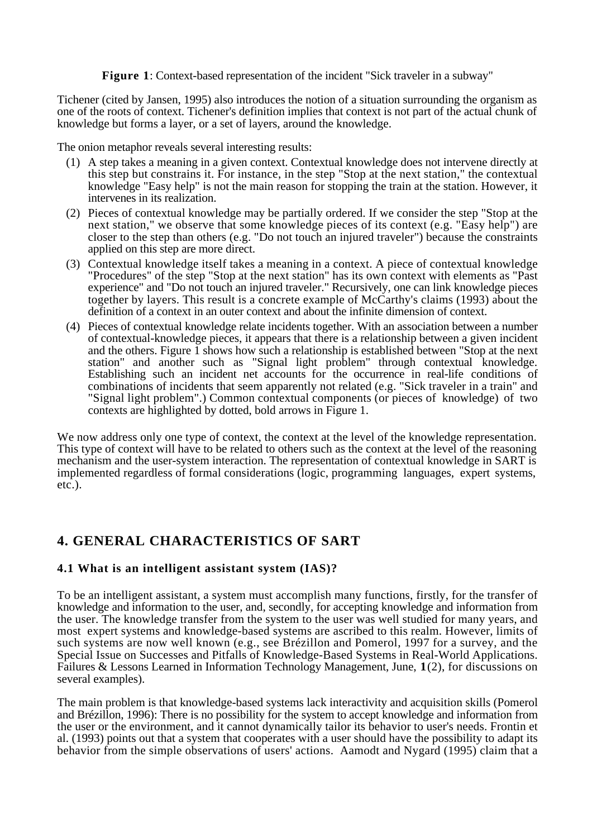**Figure 1**: Context-based representation of the incident "Sick traveler in a subway"

Tichener (cited by Jansen, 1995) also introduces the notion of a situation surrounding the organism as one of the roots of context. Tichener's definition implies that context is not part of the actual chunk of knowledge but forms a layer, or a set of layers, around the knowledge.

The onion metaphor reveals several interesting results:

- (1) A step takes a meaning in a given context. Contextual knowledge does not intervene directly at this step but constrains it. For instance, in the step "Stop at the next station," the contextual knowledge "Easy help" is not the main reason for stopping the train at the station. However, it intervenes in its realization.
- (2) Pieces of contextual knowledge may be partially ordered. If we consider the step "Stop at the next station," we observe that some knowledge pieces of its context (e.g. "Easy help") are closer to the step than others (e.g. "Do not touch an injured traveler") because the constraints applied on this step are more direct.
- (3) Contextual knowledge itself takes a meaning in a context. A piece of contextual knowledge "Procedures" of the step "Stop at the next station" has its own context with elements as "Past experience" and "Do not touch an injured traveler." Recursively, one can link knowledge pieces together by layers. This result is a concrete example of McCarthy's claims (1993) about the definition of a context in an outer context and about the infinite dimension of context.
- (4) Pieces of contextual knowledge relate incidents together. With an association between a number of contextual-knowledge pieces, it appears that there is a relationship between a given incident and the others. Figure 1 shows how such a relationship is established between "Stop at the next" station" and another such as "Signal light problem" through contextual knowledge. Establishing such an incident net accounts for the occurrence in real-life conditions of combinations of incidents that seem apparently not related (e.g. "Sick traveler in a train" and "Signal light problem".) Common contextual components (or pieces of knowledge) of two contexts are highlighted by dotted, bold arrows in Figure 1.

We now address only one type of context, the context at the level of the knowledge representation. This type of context will have to be related to others such as the context at the level of the reasoning mechanism and the user-system interaction. The representation of contextual knowledge in SART is implemented regardless of formal considerations (logic, programming languages, expert systems, etc.).

# **4. GENERAL CHARACTERISTICS OF SART**

### **4.1 What is an intelligent assistant system (IAS)?**

To be an intelligent assistant, a system must accomplish many functions, firstly, for the transfer of knowledge and information to the user, and, secondly, for accepting knowledge and information from the user. The knowledge transfer from the system to the user was well studied for many years, and most expert systems and knowledge-based systems are ascribed to this realm. However, limits of such systems are now well known (e.g., see Brézillon and Pomerol, 1997 for a survey, and the Special Issue on Successes and Pitfalls of Knowledge-Based Systems in Real-World Applications. Failures & Lessons Learned in Information Technology Management, June, **1**(2), for discussions on several examples).

The main problem is that knowledge-based systems lack interactivity and acquisition skills (Pomerol and Brézillon, 1996): There is no possibility for the system to accept knowledge and information from the user or the environment, and it cannot dynamically tailor its behavior to user's needs. Frontin et al. (1993) points out that a system that cooperates with a user should have the possibility to adapt its behavior from the simple observations of users' actions. Aamodt and Nygard (1995) claim that a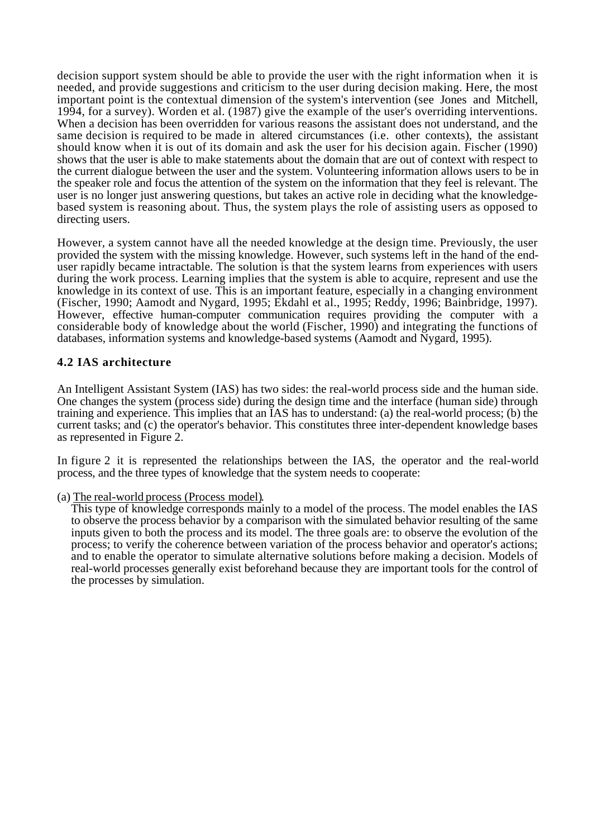decision support system should be able to provide the user with the right information when it is needed, and provide suggestions and criticism to the user during decision making. Here, the most important point is the contextual dimension of the system's intervention (see Jones and Mitchell, 1994, for a survey). Worden et al. (1987) give the example of the user's overriding interventions. When a decision has been overridden for various reasons the assistant does not understand, and the same decision is required to be made in altered circumstances (i.e. other contexts), the assistant should know when it is out of its domain and ask the user for his decision again. Fischer (1990) shows that the user is able to make statements about the domain that are out of context with respect to the current dialogue between the user and the system. Volunteering information allows users to be in the speaker role and focus the attention of the system on the information that they feel is relevant. The user is no longer just answering questions, but takes an active role in deciding what the knowledgebased system is reasoning about. Thus, the system plays the role of assisting users as opposed to directing users.

However, a system cannot have all the needed knowledge at the design time. Previously, the user provided the system with the missing knowledge. However, such systems left in the hand of the enduser rapidly became intractable. The solution is that the system learns from experiences with users during the work process. Learning implies that the system is able to acquire, represent and use the knowledge in its context of use. This is an important feature, especially in a changing environment (Fischer, 1990; Aamodt and Nygard, 1995; Ekdahl et al., 1995; Reddy, 1996; Bainbridge, 1997). However, effective human-computer communication requires providing the computer with a considerable body of knowledge about the world (Fischer, 1990) and integrating the functions of databases, information systems and knowledge-based systems (Aamodt and Nygard, 1995).

### **4.2 IAS architecture**

An Intelligent Assistant System (IAS) has two sides: the real-world process side and the human side. One changes the system (process side) during the design time and the interface (human side) through training and experience. This implies that an IAS has to understand: (a) the real-world process; (b) the current tasks; and (c) the operator's behavior. This constitutes three inter-dependent knowledge bases as represented in Figure 2.

In figure 2 it is represented the relationships between the IAS, the operator and the real-world process, and the three types of knowledge that the system needs to cooperate:

### (a) The real-world process (Process model) .

This type of knowledge corresponds mainly to a model of the process. The model enables the IAS to observe the process behavior by a comparison with the simulated behavior resulting of the same inputs given to both the process and its model. The three goals are: to observe the evolution of the process; to verify the coherence between variation of the process behavior and operator's actions; and to enable the operator to simulate alternative solutions before making a decision. Models of real-world processes generally exist beforehand because they are important tools for the control of the processes by simulation.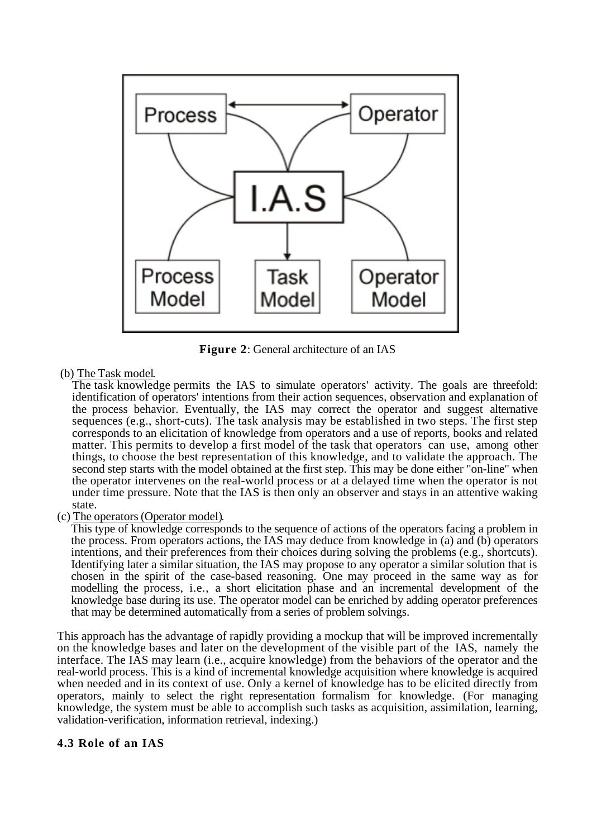

**Figure 2**: General architecture of an IAS

### (b) The Task model.

The task knowledge permits the IAS to simulate operators' activity. The goals are threefold: identification of operators' intentions from their action sequences, observation and explanation of the process behavior. Eventually, the IAS may correct the operator and suggest alternative sequences (e.g., short-cuts). The task analysis may be established in two steps. The first step corresponds to an elicitation of knowledge from operators and a use of reports, books and related matter. This permits to develop a first model of the task that operators can use, among other things, to choose the best representation of this knowledge, and to validate the approach. The second step starts with the model obtained at the first step. This may be done either "on-line" when the operator intervenes on the real-world process or at a delayed time when the operator is not under time pressure. Note that the IAS is then only an observer and stays in an attentive waking state.

### (c) The operators (Operator model) .

This type of knowledge corresponds to the sequence of actions of the operators facing a problem in the process. From operators actions, the IAS may deduce from knowledge in (a) and (b) operators intentions, and their preferences from their choices during solving the problems (e.g., shortcuts). Identifying later a similar situation, the IAS may propose to any operator a similar solution that is chosen in the spirit of the case-based reasoning. One may proceed in the same way as for modelling the process, i.e., a short elicitation phase and an incremental development of the knowledge base during its use. The operator model can be enriched by adding operator preferences that may be determined automatically from a series of problem solvings.

This approach has the advantage of rapidly providing a mockup that will be improved incrementally on the knowledge bases and later on the development of the visible part of the IAS, namely the interface. The IAS may learn (i.e., acquire knowledge) from the behaviors of the operator and the real-world process. This is a kind of incremental knowledge acquisition where knowledge is acquired when needed and in its context of use. Only a kernel of knowledge has to be elicited directly from operators, mainly to select the right representation formalism for knowledge. (For managing knowledge, the system must be able to accomplish such tasks as acquisition, assimilation, learning, validation-verification, information retrieval, indexing.)

### **4.3 Role of an IAS**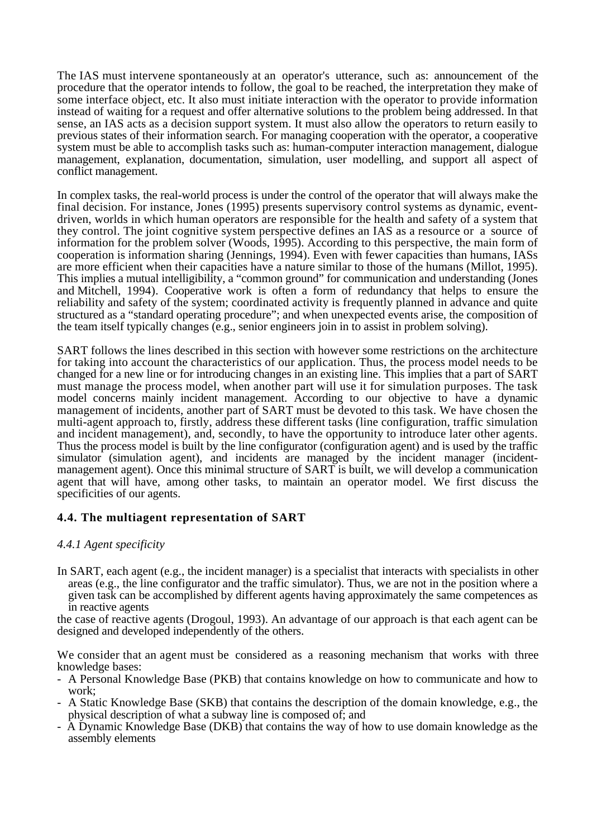The IAS must intervene spontaneously at an operator's utterance, such as: announcement of the procedure that the operator intends to follow, the goal to be reached, the interpretation they make of some interface object, etc. It also must initiate interaction with the operator to provide information instead of waiting for a request and offer alternative solutions to the problem being addressed. In that sense, an IAS acts as a decision support system. It must also allow the operators to return easily to previous states of their information search. For managing cooperation with the operator, a cooperative system must be able to accomplish tasks such as: human-computer interaction management, dialogue management, explanation, documentation, simulation, user modelling, and support all aspect of conflict management.

In complex tasks, the real-world process is under the control of the operator that will always make the final decision. For instance, Jones (1995) presents supervisory control systems as dynamic, eventdriven, worlds in which human operators are responsible for the health and safety of a system that they control. The joint cognitive system perspective defines an IAS as a resource or a source of information for the problem solver (Woods, 1995). According to this perspective, the main form of cooperation is information sharing (Jennings, 1994). Even with fewer capacities than humans, IASs are more efficient when their capacities have a nature similar to those of the humans (Millot, 1995). This implies a mutual intelligibility, a "common ground" for communication and understanding (Jones and Mitchell, 1994). Cooperative work is often a form of redundancy that helps to ensure the reliability and safety of the system; coordinated activity is frequently planned in advance and quite structured as a "standard operating procedure"; and when unexpected events arise, the composition of the team itself typically changes (e.g., senior engineers join in to assist in problem solving).

SART follows the lines described in this section with however some restrictions on the architecture for taking into account the characteristics of our application. Thus, the process model needs to be changed for a new line or for introducing changes in an existing line. This implies that a part of SART must manage the process model, when another part will use it for simulation purposes. The task model concerns mainly incident management. According to our objective to have a dynamic management of incidents, another part of SART must be devoted to this task. We have chosen the multi-agent approach to, firstly, address these different tasks (line configuration, traffic simulation and incident management), and, secondly, to have the opportunity to introduce later other agents. Thus the process model is built by the line configurator (configuration agent) and is used by the traffic simulator (simulation agent), and incidents are managed by the incident manager (incidentmanagement agent). Once this minimal structure of SART is built, we will develop a communication agent that will have, among other tasks, to maintain an operator model. We first discuss the specificities of our agents.

### **4.4. The multiagent representation of SART**

### *4.4.1 Agent specificity*

In SART, each agent (e.g., the incident manager) is a specialist that interacts with specialists in other areas (e.g., the line configurator and the traffic simulator). Thus, we are not in the position where a given task can be accomplished by different agents having approximately the same competences as in reactive agents

the case of reactive agents (Drogoul, 1993). An advantage of our approach is that each agent can be designed and developed independently of the others.

We consider that an agent must be considered as a reasoning mechanism that works with three knowledge bases:

- A Personal Knowledge Base (PKB) that contains knowledge on how to communicate and how to work;
- A Static Knowledge Base (SKB) that contains the description of the domain knowledge, e.g., the physical description of what a subway line is composed of; and
- A Dynamic Knowledge Base (DKB) that contains the way of how to use domain knowledge as the assembly elements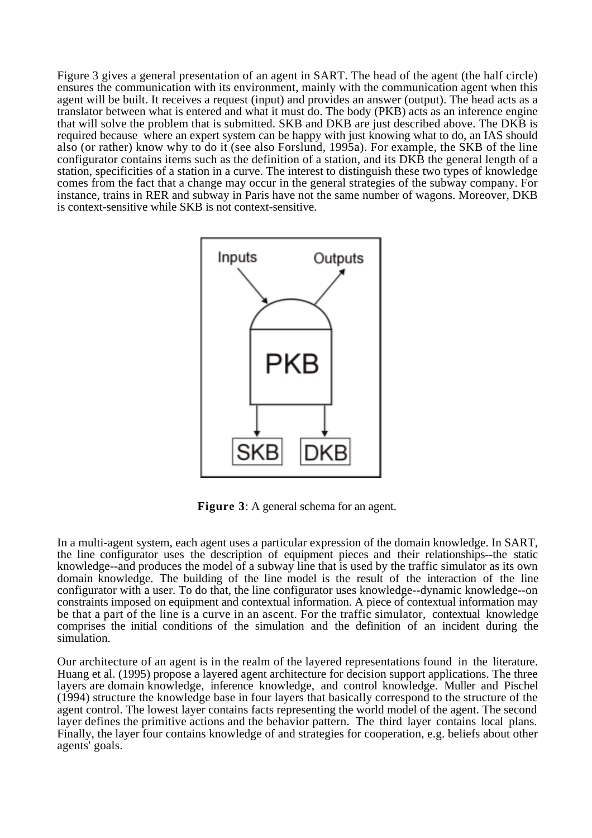Figure 3 gives a general presentation of an agent in SART. The head of the agent (the half circle) ensures the communication with its environment, mainly with the communication agent when this agent will be built. It receives a request (input) and provides an answer (output). The head acts as a translator between what is entered and what it must do. The body (PKB) acts as an inference engine that will solve the problem that is submitted. SKB and DKB are just described above. The DKB is required because where an expert system can be happy with just knowing what to do, an IAS should also (or rather) know why to do it (see also Forslund, 1995a). For example, the SKB of the line configurator contains items such as the definition of a station, and its DKB the general length of a station, specificities of a station in a curve. The interest to distinguish these two types of knowledge comes from the fact that a change may occur in the general strategies of the subway company. For instance, trains in RER and subway in Paris have not the same number of wagons. Moreover, DKB is context-sensitive while SKB is not context-sensitive.



**Figure 3:** A general schema for an agent.

In a multi-agent system, each agent uses a particular expression of the domain knowledge. In SART, the line configurator uses the description of equipment pieces and their relationships--the static knowledge--and produces the model of a subway line that is used by the traffic simulator as its own domain knowledge. The building of the line model is the result of the interaction of the line configurator with a user. To do that, the line configurator uses knowledge--dynamic knowledge--on constraints imposed on equipment and contextual information. A piece of contextual information may be that a part of the line is a curve in an ascent. For the traffic simulator, contextual knowledge comprises the initial conditions of the simulation and the definition of an incident during the simulation.

Our architecture of an agent is in the realm of the layered representations found in the literature. Huang et al. (1995) propose a layered agent architecture for decision support applications. The three layers are domain knowledge, inference knowledge, and control knowledge. Muller and Pischel (1994) structure the knowledge base in four layers that basically correspond to the structure of the agent control. The lowest layer contains facts representing the world model of the agent. The second layer defines the primitive actions and the behavior pattern. The third layer contains local plans. Finally, the layer four contains knowledge of and strategies for cooperation, e.g. beliefs about other agents' goals.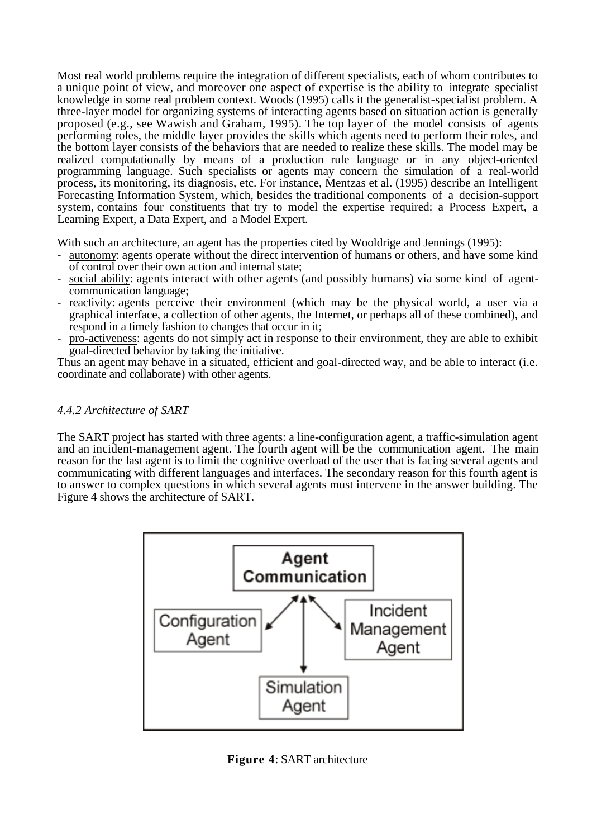Most real world problems require the integration of different specialists, each of whom contributes to a unique point of view, and moreover one aspect of expertise is the ability to integrate specialist knowledge in some real problem context. Woods (1995) calls it the generalist-specialist problem. A three-layer model for organizing systems of interacting agents based on situation action is generally proposed (e.g., see Wawish and Graham, 1995). The top layer of the model consists of agents performing roles, the middle layer provides the skills which agents need to perform their roles, and the bottom layer consists of the behaviors that are needed to realize these skills. The model may be realized computationally by means of a production rule language or in any object-oriented programming language. Such specialists or agents may concern the simulation of a real-world process, its monitoring, its diagnosis, etc. For instance, Mentzas et al. (1995) describe an Intelligent Forecasting Information System, which, besides the traditional components of a decision-support system, contains four constituents that try to model the expertise required: a Process Expert, a Learning Expert, a Data Expert, and a Model Expert.

With such an architecture, an agent has the properties cited by Wooldrige and Jennings (1995):

- autonomy: agents operate without the direct intervention of humans or others, and have some kind of control over their own action and internal state;
- social ability: agents interact with other agents (and possibly humans) via some kind of agentcommunication language;
- reactivity: agents perceive their environment (which may be the physical world, a user via a graphical interface, a collection of other agents, the Internet, or perhaps all of these combined), and respond in a timely fashion to changes that occur in it;
- pro-activeness: agents do not simply act in response to their environment, they are able to exhibit goal-directed behavior by taking the initiative.

Thus an agent may behave in a situated, efficient and goal-directed way, and be able to interact (i.e. coordinate and collaborate) with other agents.

### *4.4.2 Architecture of SART*

The SART project has started with three agents: a line-configuration agent, a traffic-simulation agent and an incident-management agent. The fourth agent will be the communication agent. The main reason for the last agent is to limit the cognitive overload of the user that is facing several agents and communicating with different languages and interfaces. The secondary reason for this fourth agent is to answer to complex questions in which several agents must intervene in the answer building. The Figure 4 shows the architecture of SART.



**Figure 4**: SART architecture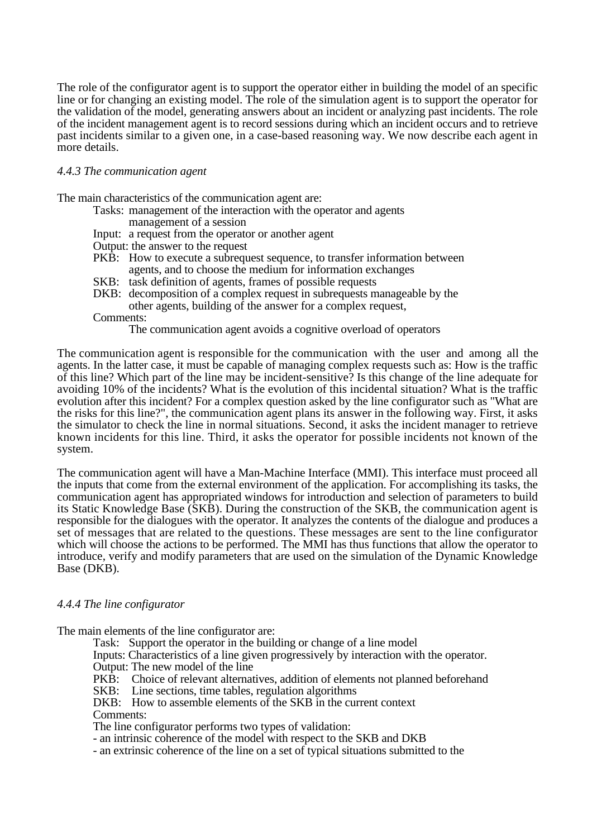The role of the configurator agent is to support the operator either in building the model of an specific line or for changing an existing model. The role of the simulation agent is to support the operator for the validation of the model, generating answers about an incident or analyzing past incidents. The role of the incident management agent is to record sessions during which an incident occurs and to retrieve past incidents similar to a given one, in a case-based reasoning way. We now describe each agent in more details.

#### *4.4.3 The communication agent*

The main characteristics of the communication agent are:

- Tasks: management of the interaction with the operator and agents
	- management of a session
- Input: a request from the operator or another agent
- Output: the answer to the request
- PKB: How to execute a subrequest sequence, to transfer information between agents, and to choose the medium for information exchanges
- SKB: task definition of agents, frames of possible requests
- DKB: decomposition of a complex request in subrequests manageable by the other agents, building of the answer for a complex request,

Comments:

The communication agent avoids a cognitive overload of operators

The communication agent is responsible for the communication with the user and among all the agents. In the latter case, it must be capable of managing complex requests such as: How is the traffic of this line? Which part of the line may be incident-sensitive? Is this change of the line adequate for avoiding 10% of the incidents? What is the evolution of this incidental situation? What is the traffic evolution after this incident? For a complex question asked by the line configurator such as "What are the risks for this line?", the communication agent plans its answer in the following way. First, it asks the simulator to check the line in normal situations. Second, it asks the incident manager to retrieve known incidents for this line. Third, it asks the operator for possible incidents not known of the system.

The communication agent will have a Man-Machine Interface (MMI). This interface must proceed all the inputs that come from the external environment of the application. For accomplishing its tasks, the communication agent has appropriated windows for introduction and selection of parameters to build its Static Knowledge Base (SKB). During the construction of the SKB, the communication agent is responsible for the dialogues with the operator. It analyzes the contents of the dialogue and produces a set of messages that are related to the questions. These messages are sent to the line configurator which will choose the actions to be performed. The MMI has thus functions that allow the operator to introduce, verify and modify parameters that are used on the simulation of the Dynamic Knowledge Base (DKB).

#### *4.4.4 The line configurator*

The main elements of the line configurator are:

Task: Support the operator in the building or change of a line model

Inputs: Characteristics of a line given progressively by interaction with the operator.

Output: The new model of the line<br>PKB: Choice of relevant alternat Choice of relevant alternatives, addition of elements not planned beforehand

SKB: Line sections, time tables, regulation algorithms

DKB: How to assemble elements of the SKB in the current context Comments:

The line configurator performs two types of validation:

- an intrinsic coherence of the model with respect to the SKB and DKB

- an extrinsic coherence of the line on a set of typical situations submitted to the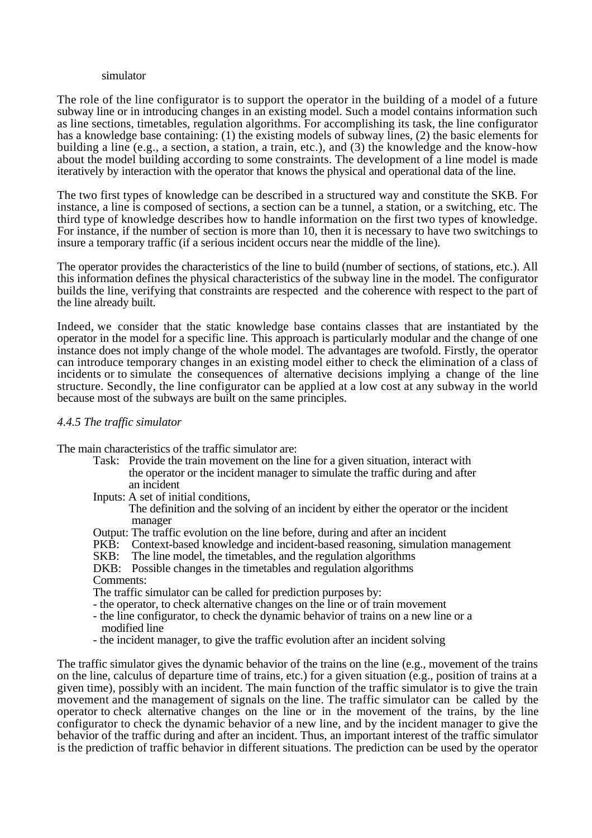#### simulator

The role of the line configurator is to support the operator in the building of a model of a future subway line or in introducing changes in an existing model. Such a model contains information such as line sections, timetables, regulation algorithms. For accomplishing its task, the line configurator has a knowledge base containing: (1) the existing models of subway lines, (2) the basic elements for building a line (e.g., a section, a station, a train, etc.), and (3) the knowledge and the know-how about the model building according to some constraints. The development of a line model is made iteratively by interaction with the operator that knows the physical and operational data of the line.

The two first types of knowledge can be described in a structured way and constitute the SKB. For instance, a line is composed of sections, a section can be a tunnel, a station, or a switching, etc. The third type of knowledge describes how to handle information on the first two types of knowledge. For instance, if the number of section is more than 10, then it is necessary to have two switchings to insure a temporary traffic (if a serious incident occurs near the middle of the line).

The operator provides the characteristics of the line to build (number of sections, of stations, etc.). All this information defines the physical characteristics of the subway line in the model. The configurator builds the line, verifying that constraints are respected and the coherence with respect to the part of the line already built.

Indeed, we consider that the static knowledge base contains classes that are instantiated by the operator in the model for a specific line. This approach is particularly modular and the change of one instance does not imply change of the whole model. The advantages are twofold. Firstly, the operator can introduce temporary changes in an existing model either to check the elimination of a class of incidents or to simulate the consequences of alternative decisions implying a change of the line structure. Secondly, the line configurator can be applied at a low cost at any subway in the world because most of the subways are built on the same principles.

#### *4.4.5 The traffic simulator*

The main characteristics of the traffic simulator are:

- Task: Provide the train movement on the line for a given situation, interact with the operator or the incident manager to simulate the traffic during and after an incident
- Inputs: A set of initial conditions,

The definition and the solving of an incident by either the operator or the incident manager

- Output: The traffic evolution on the line before, during and after an incident
- PKB: Context-based knowledge and incident-based reasoning, simulation management
- SKB: The line model, the timetables, and the regulation algorithms
- DKB: Possible changes in the timetables and regulation algorithms
- Comments:
- The traffic simulator can be called for prediction purposes by:
- the operator, to check alternative changes on the line or of train movement
- the line configurator, to check the dynamic behavior of trains on a new line or a modified line
- the incident manager, to give the traffic evolution after an incident solving

The traffic simulator gives the dynamic behavior of the trains on the line (e.g., movement of the trains on the line, calculus of departure time of trains, etc.) for a given situation (e.g., position of trains at a given time), possibly with an incident. The main function of the traffic simulator is to give the train movement and the management of signals on the line. The traffic simulator can be called by the operator to check alternative changes on the line or in the movement of the trains, by the line configurator to check the dynamic behavior of a new line, and by the incident manager to give the behavior of the traffic during and after an incident. Thus, an important interest of the traffic simulator is the prediction of traffic behavior in different situations. The prediction can be used by the operator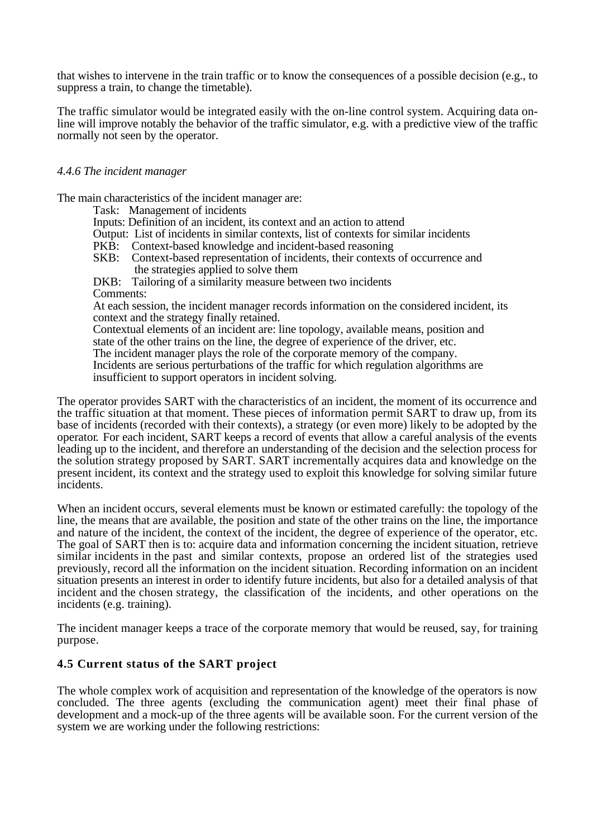that wishes to intervene in the train traffic or to know the consequences of a possible decision (e.g., to suppress a train, to change the timetable).

The traffic simulator would be integrated easily with the on-line control system. Acquiring data online will improve notably the behavior of the traffic simulator, e.g. with a predictive view of the traffic normally not seen by the operator.

#### *4.4.6 The incident manager*

The main characteristics of the incident manager are:

Task: Management of incidents

- Inputs: Definition of an incident, its context and an action to attend
- Output: List of incidents in similar contexts, list of contexts for similar incidents PKB: Context-based knowledge and incident-based reasoning
- PKB: Context-based knowledge and incident-based reasoning<br>SKB: Context-based representation of incidents, their contexts
- Context-based representation of incidents, their contexts of occurrence and the strategies applied to solve them

DKB: Tailoring of a similarity measure between two incidents Comments:

At each session, the incident manager records information on the considered incident, its context and the strategy finally retained.

Contextual elements of an incident are: line topology, available means, position and state of the other trains on the line, the degree of experience of the driver, etc.

The incident manager plays the role of the corporate memory of the company.

Incidents are serious perturbations of the traffic for which regulation algorithms are insufficient to support operators in incident solving.

The operator provides SART with the characteristics of an incident, the moment of its occurrence and the traffic situation at that moment. These pieces of information permit SART to draw up, from its base of incidents (recorded with their contexts), a strategy (or even more) likely to be adopted by the operator*.* For each incident, SART keeps a record of events that allow a careful analysis of the events leading up to the incident, and therefore an understanding of the decision and the selection process for the solution strategy proposed by SART. SART incrementally acquires data and knowledge on the present incident, its context and the strategy used to exploit this knowledge for solving similar future incidents.

When an incident occurs, several elements must be known or estimated carefully: the topology of the line, the means that are available, the position and state of the other trains on the line, the importance and nature of the incident, the context of the incident, the degree of experience of the operator, etc. The goal of SART then is to: acquire data and information concerning the incident situation, retrieve similar incidents in the past and similar contexts, propose an ordered list of the strategies used previously, record all the information on the incident situation. Recording information on an incident situation presents an interest in order to identify future incidents, but also for a detailed analysis of that incident and the chosen strategy, the classification of the incidents, and other operations on the incidents (e.g. training).

The incident manager keeps a trace of the corporate memory that would be reused, say, for training purpose.

### **4.5 Current status of the SART project**

The whole complex work of acquisition and representation of the knowledge of the operators is now concluded. The three agents (excluding the communication agent) meet their final phase of development and a mock-up of the three agents will be available soon. For the current version of the system we are working under the following restrictions: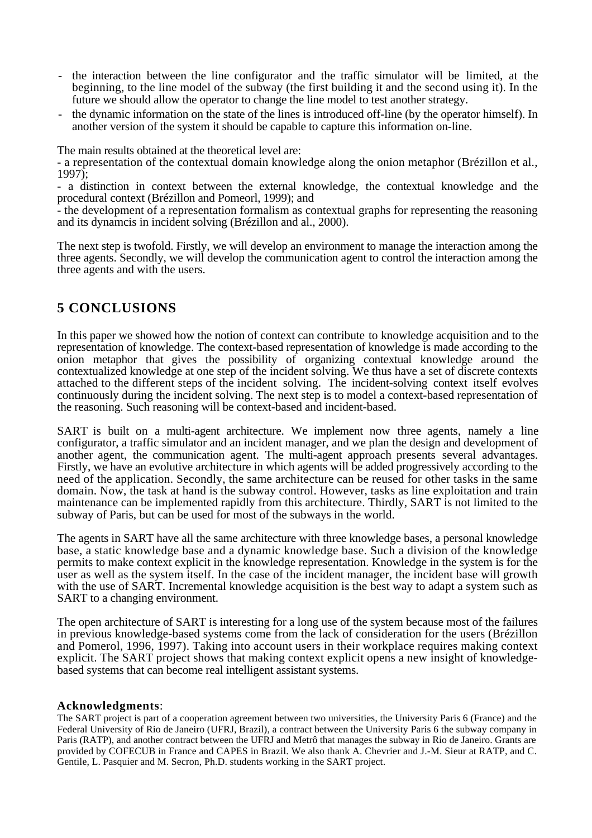- the interaction between the line configurator and the traffic simulator will be limited, at the beginning, to the line model of the subway (the first building it and the second using it). In the future we should allow the operator to change the line model to test another strategy.
- the dynamic information on the state of the lines is introduced off-line (by the operator himself). In another version of the system it should be capable to capture this information on-line.

The main results obtained at the theoretical level are:

- a representation of the contextual domain knowledge along the onion metaphor (Brézillon et al., 1997);

- a distinction in context between the external knowledge, the contextual knowledge and the procedural context (Brézillon and Pomeorl, 1999); and

- the development of a representation formalism as contextual graphs for representing the reasoning and its dynamcis in incident solving (Brézillon and al., 2000).

The next step is twofold. Firstly, we will develop an environment to manage the interaction among the three agents. Secondly, we will develop the communication agent to control the interaction among the three agents and with the users.

# **5 CONCLUSIONS**

In this paper we showed how the notion of context can contribute to knowledge acquisition and to the representation of knowledge. The context-based representation of knowledge is made according to the onion metaphor that gives the possibility of organizing contextual knowledge around the contextualized knowledge at one step of the incident solving. We thus have a set of discrete contexts attached to the different steps of the incident solving. The incident-solving context itself evolves continuously during the incident solving. The next step is to model a context-based representation of the reasoning. Such reasoning will be context-based and incident-based.

SART is built on a multi-agent architecture. We implement now three agents, namely a line configurator, a traffic simulator and an incident manager, and we plan the design and development of another agent, the communication agent. The multi-agent approach presents several advantages. Firstly, we have an evolutive architecture in which agents will be added progressively according to the need of the application. Secondly, the same architecture can be reused for other tasks in the same domain. Now, the task at hand is the subway control. However, tasks as line exploitation and train maintenance can be implemented rapidly from this architecture. Thirdly, SART is not limited to the subway of Paris, but can be used for most of the subways in the world.

The agents in SART have all the same architecture with three knowledge bases, a personal knowledge base, a static knowledge base and a dynamic knowledge base. Such a division of the knowledge permits to make context explicit in the knowledge representation. Knowledge in the system is for the user as well as the system itself. In the case of the incident manager, the incident base will growth with the use of SART. Incremental knowledge acquisition is the best way to adapt a system such as SART to a changing environment.

The open architecture of SART is interesting for a long use of the system because most of the failures in previous knowledge-based systems come from the lack of consideration for the users (Brézillon and Pomerol, 1996, 1997). Taking into account users in their workplace requires making context explicit. The SART project shows that making context explicit opens a new insight of knowledgebased systems that can become real intelligent assistant systems.

#### **Acknowledgments**:

The SART project is part of a cooperation agreement between two universities, the University Paris 6 (France) and the Federal University of Rio de Janeiro (UFRJ, Brazil), a contract between the University Paris 6 the subway company in Paris (RATP), and another contract between the UFRJ and Metrô that manages the subway in Rio de Janeiro. Grants are provided by COFECUB in France and CAPES in Brazil. We also thank A. Chevrier and J.-M. Sieur at RATP, and C. Gentile, L. Pasquier and M. Secron, Ph.D. students working in the SART project.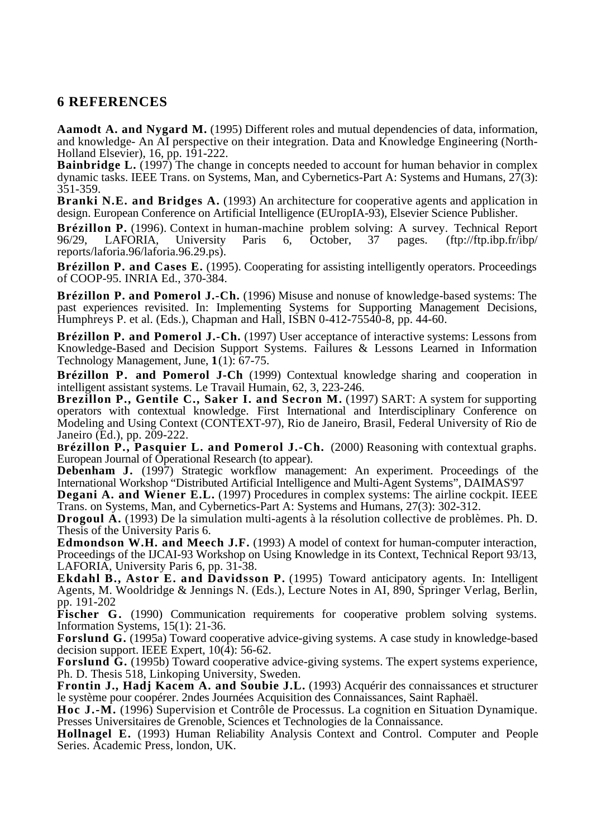# **6 REFERENCES**

**Aamodt A. and Nygard M.** (1995) Different roles and mutual dependencies of data, information, and knowledge- An AI perspective on their integration. Data and Knowledge Engineering (North-Holland Elsevier), 16, pp. 191-222.

**Bainbridge L.** (1997) The change in concepts needed to account for human behavior in complex dynamic tasks. IEEE Trans. on Systems, Man, and Cybernetics-Part A: Systems and Humans, 27(3): 351-359.

**Branki N.E. and Bridges A.** (1993) An architecture for cooperative agents and application in design. European Conference on Artificial Intelligence (EUropIA-93), Elsevier Science Publisher.

**Brézillon P.** (1996). Context in human-machine problem solving: A survey. Technical Report 96/29. LAFORIA. University Paris 6, October, 37 pages. (ftp://ftp.ibp.fr/ibp/ 96/29, LAFORIA, University Paris 6, October, 37 pages. (ftp://ftp.ibp.fr/ibp/ reports/laforia.96/laforia.96.29.ps).

**Brézillon P. and Cases E.** (1995). Cooperating for assisting intelligently operators. Proceedings of COOP-95. INRIA Ed., 370-384.

**Brézillon P. and Pomerol J.-Ch.** (1996) Misuse and nonuse of knowledge-based systems: The past experiences revisited. In: Implementing Systems for Supporting Management Decisions, Humphreys P. et al. (Eds.), Chapman and Hall, ISBN 0-412-75540-8, pp. 44-60.

**Brézillon P. and Pomerol J.-Ch.** (1997) User acceptance of interactive systems: Lessons from Knowledge-Based and Decision Support Systems. Failures & Lessons Learned in Information Technology Management, June, **1**(1): 67-75.

**Brézillon P. and Pomerol J-Ch** (1999) Contextual knowledge sharing and cooperation in intelligent assistant systems. Le Travail Humain, 62, 3, 223-246.

**Brezillon P., Gentile C., Saker I. and Secron M.** (1997) SART: A system for supporting operators with contextual knowledge. First International and Interdisciplinary Conference on Modeling and Using Context (CONTEXT-97), Rio de Janeiro, Brasil, Federal University of Rio de Janeiro (Ed.), pp. 209-222.

**Brézillon P., Pasquier L. and Pomerol J.-Ch.** (2000) Reasoning with contextual graphs. European Journal of Operational Research (to appear).

**Debenham J.** (1997) Strategic workflow management: An experiment. Proceedings of the International Workshop "Distributed Artificial Intelligence and Multi-Agent Systems", DAIMAS'97

**Degani A. and Wiener E.L.** (1997) Procedures in complex systems: The airline cockpit. IEEE Trans. on Systems, Man, and Cybernetics-Part A: Systems and Humans, 27(3): 302-312.

**Drogoul A.** (1993) De la simulation multi-agents à la résolution collective de problèmes. Ph. D. Thesis of the University Paris 6.

**Edmondson W.H. and Meech J.F.** (1993) A model of context for human-computer interaction, Proceedings of the IJCAI-93 Workshop on Using Knowledge in its Context, Technical Report 93/13, LAFORIA, University Paris 6, pp. 31-38.

**Ekdahl B., Astor E. and Davidsson P.** (1995) Toward anticipatory agents. In: Intelligent Agents, M. Wooldridge & Jennings N. (Eds.), Lecture Notes in AI, 890, Springer Verlag, Berlin, pp. 191-202

Fischer G. (1990) Communication requirements for cooperative problem solving systems. Information Systems, 15(1): 21-36.

**Forslund G.** (1995a) Toward cooperative advice-giving systems. A case study in knowledge-based decision support. IEEE Expert,  $10(\overline{4})$ : 56-62.

**Forslund G.** (1995b) Toward cooperative advice-giving systems. The expert systems experience, Ph. D. Thesis 518, Linkoping University, Sweden.

**Frontin J., Hadj Kacem A. and Soubie J.L.** (1993) Acquérir des connaissances et structurer le système pour coopérer. 2ndes Journées Acquisition des Connaissances, Saint Raphaël.

**Hoc J.-M.** (1996) Supervision et Contrôle de Processus. La cognition en Situation Dynamique. Presses Universitaires de Grenoble, Sciences et Technologies de la Connaissance.

**Hollnagel E.** (1993) Human Reliability Analysis Context and Control. Computer and People Series. Academic Press, london, UK.